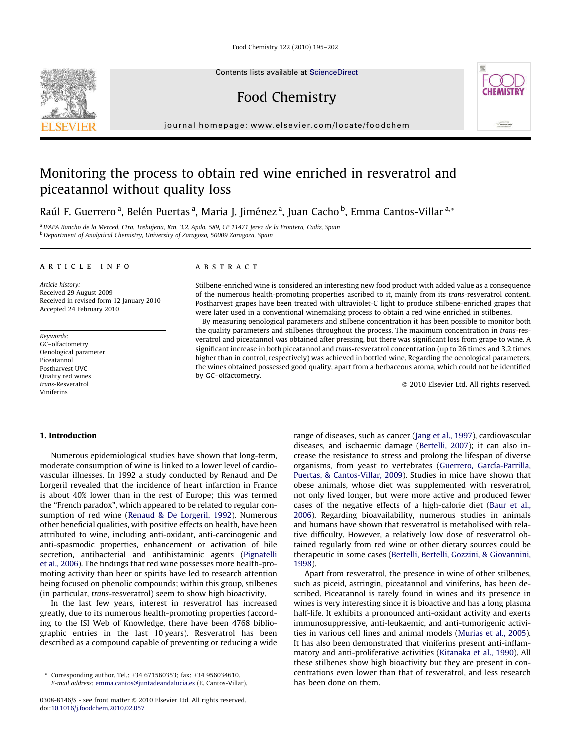Food Chemistry 122 (2010) 195–202

Contents lists available at [ScienceDirect](http://www.sciencedirect.com/science/journal/03088146)

Food Chemistry



journal homepage: [www.elsevier.com/locate/foodchem](http://www.elsevier.com/locate/foodchem)

## Monitoring the process to obtain red wine enriched in resveratrol and piceatannol without quality loss

Raúl F. Guerrero <sup>a</sup>, Belén Puertas <sup>a</sup>, Maria J. Jiménez <sup>a</sup>, Juan Cacho <sup>b</sup>, Emma Cantos-Villar <sup>a,</sup>\*

<sup>a</sup> IFAPA Rancho de la Merced. Ctra. Trebujena, Km. 3.2. Apdo. 589, CP 11471 Jerez de la Frontera, Cadiz, Spain <sup>b</sup> Department of Analytical Chemistry, University of Zaragoza, 50009 Zaragoza, Spain

#### article info

Article history: Received 29 August 2009 Received in revised form 12 January 2010 Accepted 24 February 2010

Keywords: GC–olfactometry Oenological parameter Piceatannol Postharvest UVC Quality red wines trans-Resveratrol Viniferins

#### ABSTRACT

Stilbene-enriched wine is considered an interesting new food product with added value as a consequence of the numerous health-promoting properties ascribed to it, mainly from its trans-resveratrol content. Postharvest grapes have been treated with ultraviolet-C light to produce stilbene-enriched grapes that were later used in a conventional winemaking process to obtain a red wine enriched in stilbenes.

By measuring oenological parameters and stilbene concentration it has been possible to monitor both the quality parameters and stilbenes throughout the process. The maximum concentration in trans-resveratrol and piceatannol was obtained after pressing, but there was significant loss from grape to wine. A significant increase in both piceatannol and trans-resveratrol concentration (up to 26 times and 3.2 times higher than in control, respectively) was achieved in bottled wine. Regarding the oenological parameters, the wines obtained possessed good quality, apart from a herbaceous aroma, which could not be identified by GC–olfactometry.

- 2010 Elsevier Ltd. All rights reserved.

#### 1. Introduction

Numerous epidemiological studies have shown that long-term, moderate consumption of wine is linked to a lower level of cardiovascular illnesses. In 1992 a study conducted by Renaud and De Lorgeril revealed that the incidence of heart infarction in France is about 40% lower than in the rest of Europe; this was termed the ''French paradox", which appeared to be related to regular consumption of red wine ([Renaud & De Lorgeril, 1992](#page--1-0)). Numerous other beneficial qualities, with positive effects on health, have been attributed to wine, including anti-oxidant, anti-carcinogenic and anti-spasmodic properties, enhancement or activation of bile secretion, antibacterial and antihistaminic agents [\(Pignatelli](#page--1-0) [et al., 2006](#page--1-0)). The findings that red wine possesses more health-promoting activity than beer or spirits have led to research attention being focused on phenolic compounds; within this group, stilbenes (in particular, trans-resveratrol) seem to show high bioactivity.

In the last few years, interest in resveratrol has increased greatly, due to its numerous health-promoting properties (according to the ISI Web of Knowledge, there have been 4768 bibliographic entries in the last 10 years). Resveratrol has been described as a compound capable of preventing or reducing a wide range of diseases, such as cancer [\(Jang et al., 1997\)](#page--1-0), cardiovascular diseases, and ischaemic damage [\(Bertelli, 2007](#page--1-0)); it can also increase the resistance to stress and prolong the lifespan of diverse organisms, from yeast to vertebrates [\(Guerrero, García-Parrilla,](#page--1-0) [Puertas, & Cantos-Villar, 2009\)](#page--1-0). Studies in mice have shown that obese animals, whose diet was supplemented with resveratrol, not only lived longer, but were more active and produced fewer cases of the negative effects of a high-calorie diet [\(Baur et al.,](#page--1-0) [2006](#page--1-0)). Regarding bioavailability, numerous studies in animals and humans have shown that resveratrol is metabolised with relative difficulty. However, a relatively low dose of resveratrol obtained regularly from red wine or other dietary sources could be therapeutic in some cases [\(Bertelli, Bertelli, Gozzini, & Giovannini,](#page--1-0) [1998\)](#page--1-0).

Apart from resveratrol, the presence in wine of other stilbenes, such as piceid, astringin, piceatannol and viniferins, has been described. Piceatannol is rarely found in wines and its presence in wines is very interesting since it is bioactive and has a long plasma half-life. It exhibits a pronounced anti-oxidant activity and exerts immunosuppressive, anti-leukaemic, and anti-tumorigenic activities in various cell lines and animal models ([Murias et al., 2005\)](#page--1-0). It has also been demonstrated that viniferins present anti-inflammatory and anti-proliferative activities ([Kitanaka et al., 1990](#page--1-0)). All these stilbenes show high bioactivity but they are present in concentrations even lower than that of resveratrol, and less research has been done on them.

Corresponding author. Tel.: +34 671560353; fax: +34 956034610. E-mail address: [emma.cantos@juntadeandalucia.es](mailto:emma.cantos@juntadeandalucia.es) (E. Cantos-Villar).

<sup>0308-8146/\$ -</sup> see front matter © 2010 Elsevier Ltd. All rights reserved. doi[:10.1016/j.foodchem.2010.02.057](http://dx.doi.org/10.1016/j.foodchem.2010.02.057)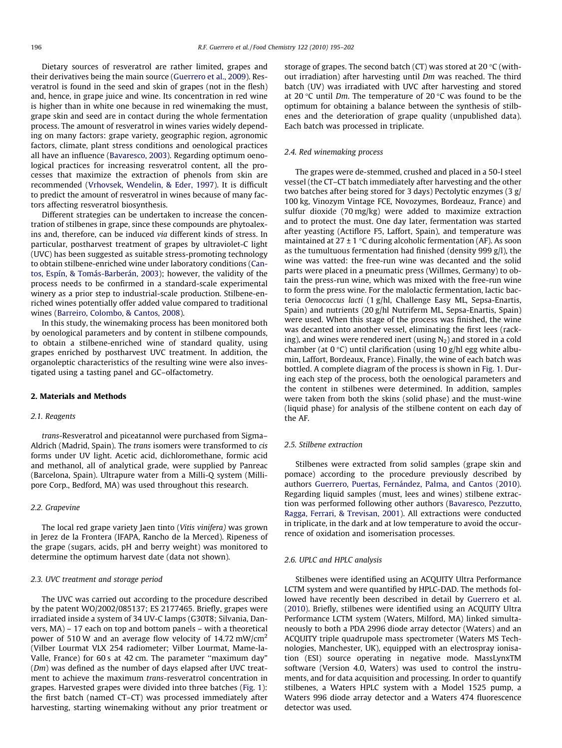Dietary sources of resveratrol are rather limited, grapes and their derivatives being the main source [\(Guerrero et al., 2009\)](#page--1-0). Resveratrol is found in the seed and skin of grapes (not in the flesh) and, hence, in grape juice and wine. Its concentration in red wine is higher than in white one because in red winemaking the must, grape skin and seed are in contact during the whole fermentation process. The amount of resveratrol in wines varies widely depending on many factors: grape variety, geographic region, agronomic factors, climate, plant stress conditions and oenological practices all have an influence [\(Bavaresco, 2003\)](#page--1-0). Regarding optimum oenological practices for increasing resveratrol content, all the processes that maximize the extraction of phenols from skin are recommended ([Vrhovsek, Wendelin, & Eder, 1997\)](#page--1-0). It is difficult to predict the amount of resveratrol in wines because of many factors affecting resveratrol biosynthesis.

Different strategies can be undertaken to increase the concentration of stilbenes in grape, since these compounds are phytoalexins and, therefore, can be induced via different kinds of stress. In particular, postharvest treatment of grapes by ultraviolet-C light (UVC) has been suggested as suitable stress-promoting technology to obtain stilbene-enriched wine under laboratory conditions [\(Can](#page--1-0)[tos, Espín, & Tomás-Barberán, 2003](#page--1-0)); however, the validity of the process needs to be confirmed in a standard-scale experimental winery as a prior step to industrial-scale production. Stilbene-enriched wines potentially offer added value compared to traditional wines ([Barreiro, Colombo, & Cantos, 2008\)](#page--1-0).

In this study, the winemaking process has been monitored both by oenological parameters and by content in stilbene compounds, to obtain a stilbene-enriched wine of standard quality, using grapes enriched by postharvest UVC treatment. In addition, the organoleptic characteristics of the resulting wine were also investigated using a tasting panel and GC–olfactometry.

### 2. Materials and Methods

#### 2.1. Reagents

trans-Resveratrol and piceatannol were purchased from Sigma– Aldrich (Madrid, Spain). The trans isomers were transformed to cis forms under UV light. Acetic acid, dichloromethane, formic acid and methanol, all of analytical grade, were supplied by Panreac (Barcelona, Spain). Ultrapure water from a Milli-Q system (Millipore Corp., Bedford, MA) was used throughout this research.

#### 2.2. Grapevine

The local red grape variety Jaen tinto (Vitis vinifera) was grown in Jerez de la Frontera (IFAPA, Rancho de la Merced). Ripeness of the grape (sugars, acids, pH and berry weight) was monitored to determine the optimum harvest date (data not shown).

#### 2.3. UVC treatment and storage period

The UVC was carried out according to the procedure described by the patent WO/2002/085137; ES 2177465. Briefly, grapes were irradiated inside a system of 34 UV-C lamps (G30T8; Silvania, Danvers, MA) – 17 each on top and bottom panels – with a theoretical power of 510 W and an average flow velocity of 14.72 mW/cm2 (Vilber Lourmat VLX 254 radiometer; Vilber Lourmat, Mame-la-Valle, France) for 60 s at 42 cm. The parameter ''maximum day" (Dm) was defined as the number of days elapsed after UVC treatment to achieve the maximum trans-resveratrol concentration in grapes. Harvested grapes were divided into three batches [\(Fig. 1\)](#page--1-0): the first batch (named CT–CT) was processed immediately after harvesting, starting winemaking without any prior treatment or storage of grapes. The second batch (CT) was stored at 20  $\degree$ C (without irradiation) after harvesting until Dm was reached. The third batch (UV) was irradiated with UVC after harvesting and stored at 20 °C until Dm. The temperature of 20 °C was found to be the optimum for obtaining a balance between the synthesis of stilbenes and the deterioration of grape quality (unpublished data). Each batch was processed in triplicate.

#### 2.4. Red winemaking process

The grapes were de-stemmed, crushed and placed in a 50-l steel vessel (the CT–CT batch immediately after harvesting and the other two batches after being stored for 3 days) Pectolytic enzymes (3 g/ 100 kg, Vinozym Vintage FCE, Novozymes, Bordeauz, France) and sulfur dioxide (70 mg/kg) were added to maximize extraction and to protect the must. One day later, fermentation was started after yeasting (Actiflore F5, Laffort, Spain), and temperature was maintained at  $27 \pm 1$  °C during alcoholic fermentation (AF). As soon as the tumultuous fermentation had finished (density 999 g/l), the wine was vatted: the free-run wine was decanted and the solid parts were placed in a pneumatic press (Willmes, Germany) to obtain the press-run wine, which was mixed with the free-run wine to form the press wine. For the malolactic fermentation, lactic bacteria Oenococcus lacti (1 g/hl, Challenge Easy ML, Sepsa-Enartis, Spain) and nutrients (20 g/hl Nutriferm ML, Sepsa-Enartis, Spain) were used. When this stage of the process was finished, the wine was decanted into another vessel, eliminating the first lees (racking), and wines were rendered inert (using  $N_2$ ) and stored in a cold chamber (at  $0 °C$ ) until clarification (using  $10 g/hl$  egg white albumin, Laffort, Bordeaux, France). Finally, the wine of each batch was bottled. A complete diagram of the process is shown in [Fig. 1](#page--1-0). During each step of the process, both the oenological parameters and the content in stilbenes were determined. In addition, samples were taken from both the skins (solid phase) and the must-wine (liquid phase) for analysis of the stilbene content on each day of the AF.

#### 2.5. Stilbene extraction

Stilbenes were extracted from solid samples (grape skin and pomace) according to the procedure previously described by authors [Guerrero, Puertas, Fernández, Palma, and Cantos \(2010\).](#page--1-0) Regarding liquid samples (must, lees and wines) stilbene extraction was performed following other authors ([Bavaresco, Pezzutto,](#page--1-0) [Ragga, Ferrari, & Trevisan, 2001](#page--1-0)). All extractions were conducted in triplicate, in the dark and at low temperature to avoid the occurrence of oxidation and isomerisation processes.

#### 2.6. UPLC and HPLC analysis

Stilbenes were identified using an ACQUITY Ultra Performance LCTM system and were quantified by HPLC-DAD. The methods followed have recently been described in detail by [Guerrero et al.](#page--1-0) [\(2010\).](#page--1-0) Briefly, stilbenes were identified using an ACQUITY Ultra Performance LCTM system (Waters, Milford, MA) linked simultaneously to both a PDA 2996 diode array detector (Waters) and an ACQUITY triple quadrupole mass spectrometer (Waters MS Technologies, Manchester, UK), equipped with an electrospray ionisation (ESI) source operating in negative mode. MassLynxTM software (Version 4.0, Waters) was used to control the instruments, and for data acquisition and processing. In order to quantify stilbenes, a Waters HPLC system with a Model 1525 pump, a Waters 996 diode array detector and a Waters 474 fluorescence detector was used.